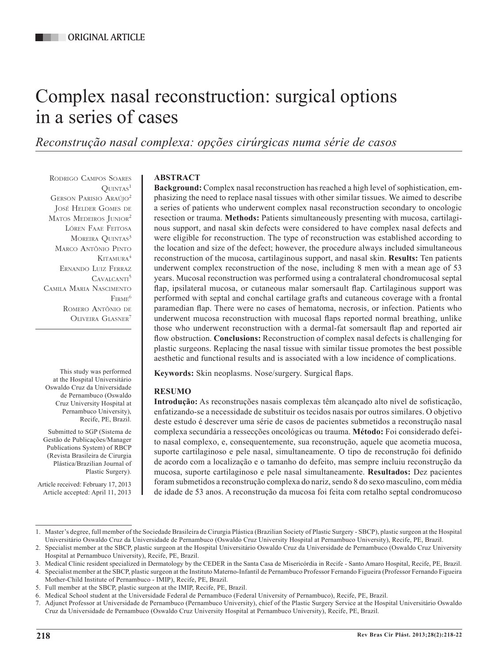# Complex nasal reconstruction: surgical options in a series of cases

*Reconstrução nasal complexa: opções cirúrgicas numa série de casos*

Rodrigo Campos Soares  $O$ **UINTAS**<sup>1</sup> Gerson Parisio Araújo2 José Helder Gomes de MATOS MEDEIROS JUNIOR<sup>2</sup> Lóren Faae Feitosa MOREIRA QUINTAS<sup>3</sup> Marco Antônio Pinto KITAMURA<sup>4</sup> Ernando Luiz Ferraz CAVALCANTI<sup>5</sup> Camila Maria Nascimento  $F_{IRMF}$ <sup>6</sup> Romero Antônio de OLIVEIRA GLASNER<sup>7</sup>

This study was performed at the Hospital Universitário Oswaldo Cruz da Universidade de Pernambuco (Oswaldo Cruz University Hospital at Pernambuco University), Recife, PE, Brazil.

Submitted to SGP (Sistema de Gestão de Publicações/Manager Publications System) of RBCP (Revista Brasileira de Cirurgia Plástica/Brazilian Journal of Plastic Surgery).

Article received: February 17, 2013 Article accepted: April 11, 2013

# **ABSTRACT**

**Background:** Complex nasal reconstruction has reached a high level of sophistication, emphasizing the need to replace nasal tissues with other similar tissues. We aimed to describe a series of patients who underwent complex nasal reconstruction secondary to oncologic resection or trauma. **Methods:** Patients simultaneously presenting with mucosa, cartilaginous support, and nasal skin defects were considered to have complex nasal defects and were eligible for reconstruction. The type of reconstruction was established according to the location and size of the defect; however, the procedure always included simultaneous reconstruction of the mucosa, cartilaginous support, and nasal skin. **Results:** Ten patients underwent complex reconstruction of the nose, including 8 men with a mean age of 53 years. Mucosal reconstruction was performed using a contralateral chondromucosal septal flap, ipsilateral mucosa, or cutaneous malar somersault flap. Cartilaginous support was performed with septal and conchal cartilage grafts and cutaneous coverage with a frontal paramedian flap. There were no cases of hematoma, necrosis, or infection. Patients who underwent mucosa reconstruction with mucosal flaps reported normal breathing, unlike those who underwent reconstruction with a dermal-fat somersault flap and reported air flow obstruction. **Conclusions:** Reconstruction of complex nasal defects is challenging for plastic surgeons. Replacing the nasal tissue with similar tissue promotes the best possible aesthetic and functional results and is associated with a low incidence of complications.

**Keywords:** Skin neoplasms. Nose/surgery. Surgical flaps.

# **RESUMO**

**Introdução:** As reconstruções nasais complexas têm alcançado alto nível de sofisticação, enfatizando-se a necessidade de substituir os tecidos nasais por outros similares. O objetivo deste estudo é descrever uma série de casos de pacientes submetidos a reconstrução nasal complexa secundária a ressecções oncológicas ou trauma. **Método:** Foi considerado defeito nasal complexo, e, consequentemente, sua reconstrução, aquele que acometia mucosa, suporte cartilaginoso e pele nasal, simultaneamente. O tipo de reconstrução foi definido de acordo com a localização e o tamanho do defeito, mas sempre incluiu reconstrução da mucosa, suporte cartilaginoso e pele nasal simultaneamente. **Resultados:** Dez pacientes foram submetidos a reconstrução complexa do nariz, sendo 8 do sexo masculino, com média de idade de 53 anos. A reconstrução da mucosa foi feita com retalho septal condromucoso

<sup>1.</sup> Master's degree, full member of the Sociedade Brasileira de Cirurgia Plástica (Brazilian Society of Plastic Surgery - SBCP), plastic surgeon at the Hospital Universitário Oswaldo Cruz da Universidade de Pernambuco (Oswaldo Cruz University Hospital at Pernambuco University), Recife, PE, Brazil.

<sup>2.</sup> Specialist member at the SBCP, plastic surgeon at the Hospital Universitário Oswaldo Cruz da Universidade de Pernambuco (Oswaldo Cruz University Hospital at Pernambuco University), Recife, PE, Brazil.

<sup>3.</sup> Medical Clinic resident specialized in Dermatology by the CEDER in the Santa Casa de Misericórdia in Recife - Santo Amaro Hospital, Recife, PE, Brazil.

<sup>4.</sup> Specialist member at the SBCP, plastic surgeon at the Instituto Materno-Infantil de Pernambuco Professor Fernando Figueira (Professor Fernando Figueira Mother-Child Institute of Pernambuco - IMIP), Recife, PE, Brazil.

<sup>5.</sup> Full member at the SBCP, plastic surgeon at the IMIP, Recife, PE, Brazil.

<sup>6.</sup> Medical School student at the Universidade Federal de Pernambuco (Federal University of Pernambuco), Recife, PE, Brazil.

<sup>7.</sup> Adjunct Professor at Universidade de Pernambuco (Pernambuco University), chief of the Plastic Surgery Service at the Hospital Universitário Oswaldo Cruz da Universidade de Pernambuco (Oswaldo Cruz University Hospital at Pernambuco University), Recife, PE, Brazil.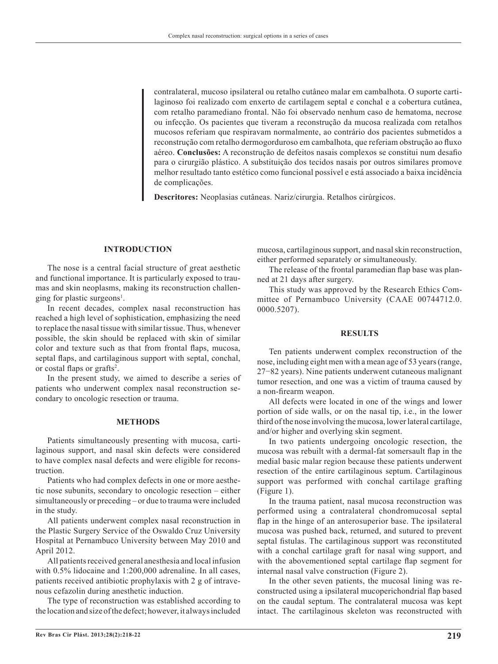contralateral, mucoso ipsilateral ou retalho cutâneo malar em cambalhota. O suporte cartilaginoso foi realizado com enxerto de cartilagem septal e conchal e a cobertura cutânea, com retalho paramediano frontal. Não foi observado nenhum caso de hematoma, necrose ou infecção. Os pacientes que tiveram a reconstrução da mucosa realizada com retalhos mucosos referiam que respiravam normalmente, ao contrário dos pacientes submetidos a reconstrução com retalho dermogorduroso em cambalhota, que referiam obstrução ao fluxo aéreo. **Conclusões:** A reconstrução de defeitos nasais complexos se constitui num desafio para o cirurgião plástico. A substituição dos tecidos nasais por outros similares promove melhor resultado tanto estético como funcional possível e está associado a baixa incidência de complicações.

**Descritores:** Neoplasias cutâneas. Nariz/cirurgia. Retalhos cirúrgicos.

# **INTRODUCTION**

The nose is a central facial structure of great aesthetic and functional importance. It is particularly exposed to trau mas and skin neoplasms, making its reconstruction challenging for plastic surgeons<sup>1</sup>.

In recent decades, complex nasal reconstruction has reached a high level of sophistication, emphasizing the need to replace the nasal tissue with similar tissue. Thus, whenever possible, the skin should be replaced with skin of similar color and texture such as that from frontal flaps, mucosa, septal flaps, and cartilaginous support with septal, conchal, or costal flaps or grafts<sup>2</sup>.

In the present study, we aimed to describe a series of patients who underwent complex nasal reconstruction secondary to oncologic resection or trauma.

#### **METHODS**

Patients simultaneously presenting with mucosa, cartilaginous support, and nasal skin defects were considered to have complex nasal defects and were eligible for reconstruction.

Patients who had complex defects in one or more aesthe tic nose subunits, secondary to oncologic resection – either simultaneously or preceding – or due to trauma were included in the study.

All patients underwent complex nasal reconstruction in the Plastic Surgery Service of the Oswaldo Cruz University Hospital at Pernambuco University between May 2010 and April 2012.

All patients received general anesthesia and local infusion with  $0.5\%$  lidocaine and  $1:200,000$  adrenaline. In all cases, patients received antibiotic prophylaxis with 2 g of intravenous cefazolin during anesthetic induction.

The type of reconstruction was established according to the location and size of the defect; however, it always included mucosa, cartilaginous support, and nasal skin reconstruction, either performed separately or simultaneously.

The release of the frontal paramedian flap base was planned at 21 days after surgery.

This study was approved by the Research Ethics Committee of Pernambuco University (CAAE 00744712.0. 0000.5207).

#### **RESULTS**

Ten patients underwent complex reconstruction of the nose, including eight men with a mean age of 53 years (range, 27−82 years). Nine patients underwent cutaneous malignant tumor resection, and one was a victim of trauma caused by a non-firearm weapon.

All defects were located in one of the wings and lower portion of side walls, or on the nasal tip, i.e., in the lower third of the nose involving the mucosa, lower lateral cartilage, and/or higher and overlying skin segment.

In two patients undergoing oncologic resection, the mucosa was rebuilt with a dermal-fat somersault flap in the medial basic malar region because these patients underwent resection of the entire cartilaginous septum. Cartilaginous support was performed with conchal cartilage grafting (Figure 1).

In the trauma patient, nasal mucosa reconstruction was performed using a contralateral chondromucosal septal flap in the hinge of an anterosuperior base. The ipsilateral mucosa was pushed back, returned, and sutured to prevent septal fistulas. The cartilaginous support was reconstituted with a conchal cartilage graft for nasal wing support, and with the abovementioned septal cartilage flap segment for internal nasal valve construction (Figure 2).

In the other seven patients, the mucosal lining was reconstructed using a ipsilateral mucoperichondrial flap based on the caudal septum. The contralateral mucosa was kept intact. The cartilaginous skeleton was reconstructed with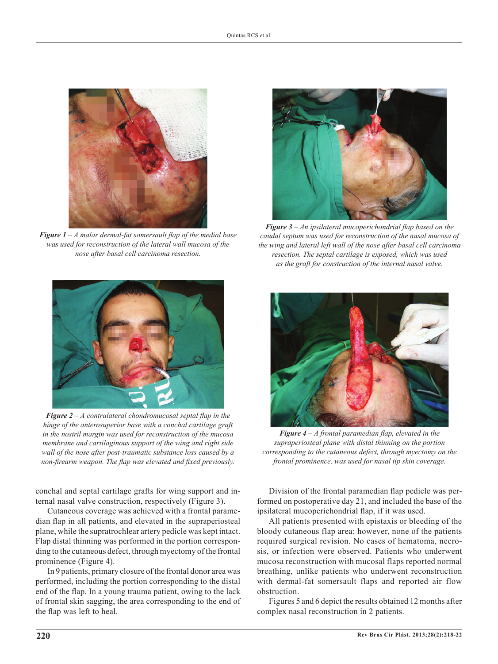

*Figure 1 – A malar dermal-fat somersault flap of the medial base was used for reconstruction of the lateral wall mucosa of the nose after basal cell carcinoma resection.*



*Figure 2 – A contralateral chondromucosal septal flap in the hinge of the anterosuperior base with a conchal cartilage graft in the nostril margin was used for reconstruction of the mucosa membrane and cartilaginous support of the wing and right side wall of the nose after post-traumatic substance loss caused by a non-firearm weapon. The flap was elevated and fixed previously.*

conchal and septal cartilage grafts for wing support and internal nasal valve construction, respectively (Figure 3).

Cutaneous coverage was achieved with a frontal paramedian flap in all patients, and elevated in the supraperiosteal plane, while the supratrochlear artery pedicle was kept intact. Flap distal thinning was performed in the portion corresponding to the cutaneous defect, through myectomy of the frontal prominence (Figure 4).

In 9 patients, primary closure of the frontal donor area was performed, including the portion corresponding to the distal end of the flap. In a young trauma patient, owing to the lack of frontal skin sagging, the area corresponding to the end of the flap was left to heal.



*Figure 3 – An ipsilateral mucoperichondrial flap based on the caudal septum was used for reconstruction of the nasal mucosa of the wing and lateral left wall of the nose after basal cell carcinoma resection. The septal cartilage is exposed, which was used as the graft for construction of the internal nasal valve.* 



*Figure 4 – A frontal paramedian flap, elevated in the supraperiosteal plane with distal thinning on the portion corresponding to the cutaneous defect, through myectomy on the frontal prominence, was used for nasal tip skin coverage.*

Division of the frontal paramedian flap pedicle was performed on postoperative day 21, and included the base of the ipsilateral mucoperichondrial flap, if it was used.

All patients presented with epistaxis or bleeding of the bloody cutaneous flap area; however, none of the patients required surgical revision. No cases of hematoma, necrosis, or infection were observed. Patients who underwent mucosa reconstruction with mucosal flaps reported normal breathing, unlike patients who underwent reconstruction with dermal-fat somersault flaps and reported air flow obstruction.

Figures 5 and 6 depict the results obtained 12 months after complex nasal reconstruction in 2 patients.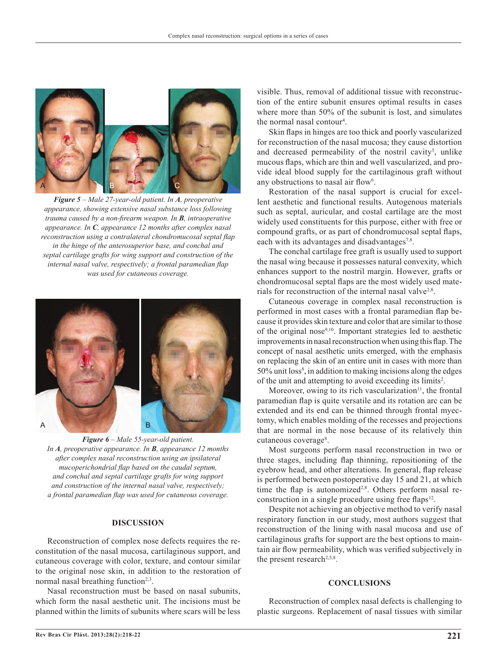

*Figure 5 – Male 27-year-old patient. In A, preoperative appearance, showing extensive nasal substance loss following trauma caused by a non-firearm weapon. In B, intraoperative appearance. In C, appearance 12 months after complex nasal reconstruction using a contralateral chondromucosal septal flap in the hinge of the anterosuperior base, and conchal and septal cartilage grafts for wing support and construction of the internal nasal valve, respectively; a frontal paramedian flap was used for cutaneous coverage.*



*Figure 6 – Male 55-year-old patient. In A, preoperative appearance. In B, appearance 12 months after complex nasal reconstruction using an ipsilateral mucoperichondrial flap based on the caudal septum, and conchal and septal cartilage grafts for wing support and construction of the internal nasal valve, respectively; a frontal paramedian flap was used for cutaneous coverage.* 

## **DISCUSSION**

Reconstruction of complex nose defects requires the re constitution of the nasal mucosa, cartilaginous support, and cutaneous coverage with color, texture, and contour similar to the original nose skin, in addition to the restoration of normal nasal breathing function<sup> $2,3$ </sup>.

Nasal reconstruction must be based on nasal subunits, which form the nasal aesthetic unit. The incisions must be planned within the limits of subunits where scars will be less visible. Thus, removal of additional tissue with reconstruction of the entire subunit ensures optimal results in cases where more than 50% of the subunit is lost, and simulates the normal nasal contour<sup>4</sup>.

Skin flaps in hinges are too thick and poorly vascularized for reconstruction of the nasal mucosa; they cause distortion and decreased permeability of the nostril cavity<sup>5</sup>, unlike mucous flaps, which are thin and well vascularized, and provide ideal blood supply for the cartilaginous graft without any obstructions to nasal air flow<sup>6</sup>.

Restoration of the nasal support is crucial for excellent aesthetic and functional results. Autogenous materials such as septal, auricular, and costal cartilage are the most widely used constituents for this purpose, either with free or compound grafts, or as part of chondromucosal septal flaps, each with its advantages and disadvantages<sup>7,8</sup>.

The conchal cartilage free graft is usually used to support the nasal wing because it possesses natural convexity, which enhances support to the nostril margin. However, grafts or chondromucosal septal flaps are the most widely used materials for reconstruction of the internal nasal valve<sup>2,8</sup>.

Cutaneous coverage in complex nasal reconstruction is performed in most cases with a frontal paramedian flap because it provides skin texture and color that are similar to those of the original nose9,10. Important strategies led to aesthetic improvements in nasal reconstruction when using this flap. The concept of nasal aesthetic units emerged, with the emphasis on replacing the skin of an entire unit in cases with more than 50% unit loss<sup>8</sup>, in addition to making incisions along the edges of the unit and attempting to avoid exceeding its limits<sup>2</sup>.

Moreover, owing to its rich vascularization<sup>11</sup>, the frontal paramedian flap is quite versatile and its rotation arc can be extended and its end can be thinned through frontal myectomy, which enables molding of the recesses and projections that are normal in the nose because of its relatively thin cutaneous coverage<sup>8</sup>.

Most surgeons perform nasal reconstruction in two or three stages, including flap thinning, repositioning of the eyebrow head, and other alterations. In general, flap release is performed between postoperative day 15 and 21, at which time the flap is autonomized<sup>2,8</sup>. Others perform nasal reconstruction in a single procedure using free flaps<sup>12</sup>.

Despite not achieving an objective method to verify nasal respiratory function in our study, most authors suggest that reconstruction of the lining with nasal mucosa and use of cartilaginous grafts for support are the best options to maintain air flow permeability, which was verified subjectively in the present research<sup>2,5,8</sup>.

### **CONCLUSIONS**

Reconstruction of complex nasal defects is challenging to plastic surgeons. Replacement of nasal tissues with similar